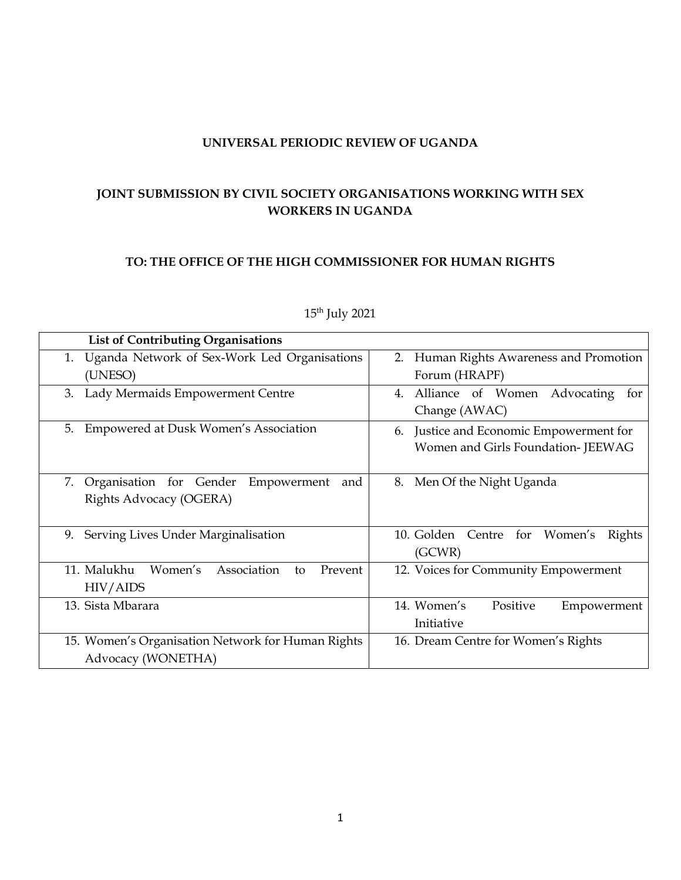### **UNIVERSAL PERIODIC REVIEW OF UGANDA**

# **JOINT SUBMISSION BY CIVIL SOCIETY ORGANISATIONS WORKING WITH SEX WORKERS IN UGANDA**

#### **TO: THE OFFICE OF THE HIGH COMMISSIONER FOR HUMAN RIGHTS**

| <b>List of Contributing Organisations</b>              |                                            |
|--------------------------------------------------------|--------------------------------------------|
| Uganda Network of Sex-Work Led Organisations<br>1.     | 2. Human Rights Awareness and Promotion    |
| (UNESO)                                                | Forum (HRAPF)                              |
| Lady Mermaids Empowerment Centre<br>3.                 | Alliance of Women Advocating<br>4.<br>for  |
|                                                        | Change (AWAC)                              |
| Empowered at Dusk Women's Association<br>5.            | Justice and Economic Empowerment for<br>6. |
|                                                        | Women and Girls Foundation-JEEWAG          |
|                                                        |                                            |
| Organisation for Gender<br>7.<br>Empowerment<br>and    | 8. Men Of the Night Uganda                 |
| Rights Advocacy (OGERA)                                |                                            |
|                                                        |                                            |
| Serving Lives Under Marginalisation<br>9.              | 10. Golden Centre for Women's<br>Rights    |
|                                                        | (GCWR)                                     |
| 11. Malukhu<br>Women's<br>Association<br>Prevent<br>to | 12. Voices for Community Empowerment       |
| <b>HIV/AIDS</b>                                        |                                            |
| 13. Sista Mbarara                                      | 14. Women's<br>Positive<br>Empowerment     |
|                                                        | Initiative                                 |
| 15. Women's Organisation Network for Human Rights      | 16. Dream Centre for Women's Rights        |
| Advocacy (WONETHA)                                     |                                            |

## 15<sup>th</sup> July 2021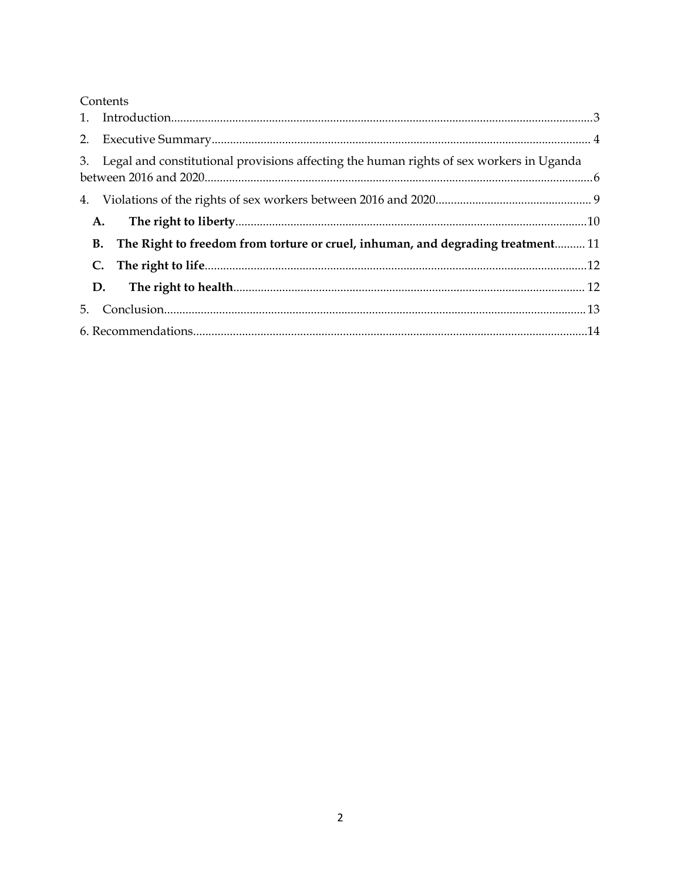|    | Contents                                                                                   |  |
|----|--------------------------------------------------------------------------------------------|--|
|    |                                                                                            |  |
|    |                                                                                            |  |
|    | 3. Legal and constitutional provisions affecting the human rights of sex workers in Uganda |  |
|    |                                                                                            |  |
| A. |                                                                                            |  |
|    | B. The Right to freedom from torture or cruel, inhuman, and degrading treatment 11         |  |
|    | C.                                                                                         |  |
|    | D.                                                                                         |  |
| 5. |                                                                                            |  |
|    |                                                                                            |  |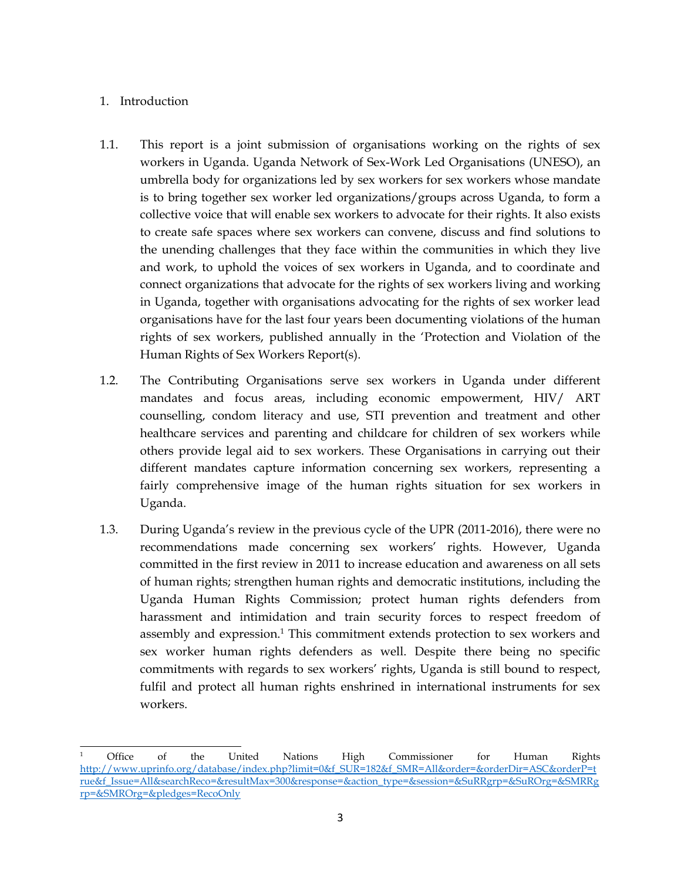## <span id="page-2-0"></span>1. Introduction

- 1.1. This repor<sup>t</sup> is <sup>a</sup> joint submission of organisations working on the rights of sex workers in Uganda. Uganda Network of Sex-Work Led Organisations (UNESO), an umbrella body for organizations led by sex workers for sex workers whose mandate is to bring together sex worker led organizations/groups across Uganda, to form <sup>a</sup> collective voice that will enable sex workers to advocate for their rights. It also exists to create safe spaces where sex workers can convene, discuss and find solutions to the unending challenges that they face within the communities in which they live and work, to uphold the voices of sex workers in Uganda, and to coordinate and connect organizations that advocate for the rights of sex workers living and working in Uganda, together with organisations advocating for the rights of sex worker lead organisations have for the last four years been documenting violations of the human rights of sex workers, published annually in the 'Protection and Violation of the Human Rights of Sex Workers Report(s).
- 1.2. The Contributing Organisations serve sex workers in Uganda under different mandates and focus areas, including economic empowerment, HIV/ ART counselling, condom literacy and use, STI prevention and treatment and other healthcare services and parenting and childcare for children of sex workers while others provide legal aid to sex workers. These Organisations in carrying out their different mandates capture information concerning sex workers, representing <sup>a</sup> fairly comprehensive image of the human rights situation for sex workers in Uganda.
- 1.3. During Uganda'<sup>s</sup> review in the previous cycle of the UPR (2011-2016), there were no recommendations made concerning sex workers' rights. However, Uganda committed in the first review in 2011 to increase education and awareness on all sets of human rights; strengthen human rights and democratic institutions, including the Uganda Human Rights Commission; protect human rights defenders from harassment and intimidation and train security forces to respec<sup>t</sup> freedom of assembly and expression. 1 This commitment extends protection to sex workers and sex worker human rights defenders as well. Despite there being no specific commitments with regards to sex workers' rights, Uganda is still bound to respect, fulfil and protect all human rights enshrined in international instruments for sex workers.

<sup>1</sup> Office of the United Nations High Commissioner for Human Rights [http://www.uprinfo.org/database/index.php?limit=0&f\\_SUR=182&f\\_SMR=All&order=&orderDir=ASC&orderP=t](http://www.uprinfo.org/database/index.php?limit=0&f_SUR=182&f_SMR=All&order=&orderDir=ASC&orderP=true&f_Issue=All&searchReco=&resultMax=300&response=&action_type=&session=&SuRRgrp=&SuROrg=&SMRRgrp=&SMROrg=&pledges=RecoOnly) [rue&f\\_Issue=All&searchReco=&resultMax=300&response=&action\\_type=&session=&SuRRgrp=&SuROrg=&SMRRg](http://www.uprinfo.org/database/index.php?limit=0&f_SUR=182&f_SMR=All&order=&orderDir=ASC&orderP=true&f_Issue=All&searchReco=&resultMax=300&response=&action_type=&session=&SuRRgrp=&SuROrg=&SMRRgrp=&SMROrg=&pledges=RecoOnly) rp=[&SMROrg=&pledges=RecoOnly](http://www.uprinfo.org/database/index.php?limit=0&f_SUR=182&f_SMR=All&order=&orderDir=ASC&orderP=true&f_Issue=All&searchReco=&resultMax=300&response=&action_type=&session=&SuRRgrp=&SuROrg=&SMRRgrp=&SMROrg=&pledges=RecoOnly)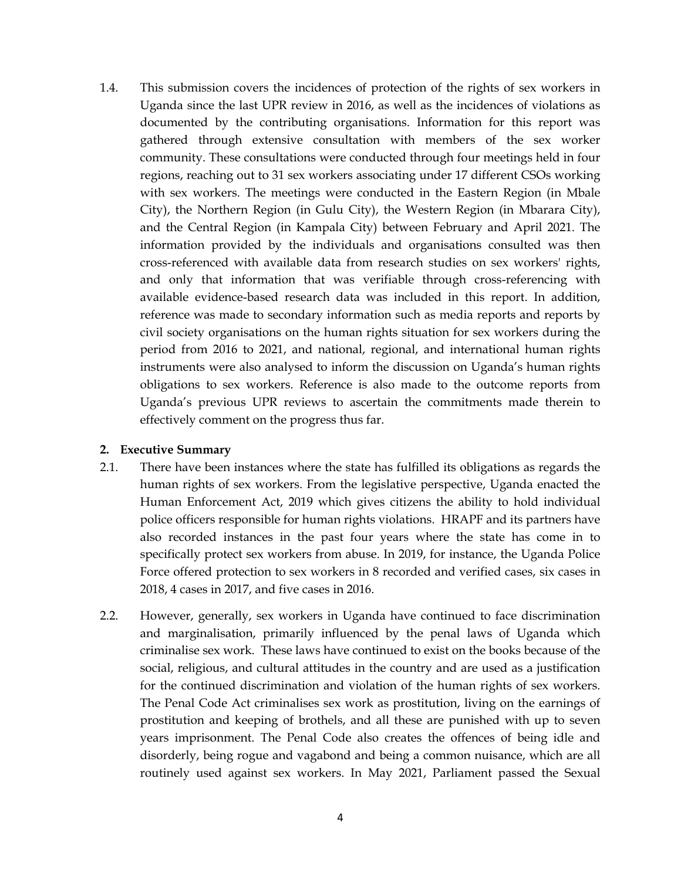<span id="page-3-0"></span>1.4. This submission covers the incidences of protection of the rights of sex workers in Uganda since the last UPR review in 2016, as well as the incidences of violations as documented by the contributing organisations. Information for this repor<sup>t</sup> was gathered through extensive consultation with members of the sex worker community. These consultations were conducted through four meetings held in four regions, reaching out to 31 sex workers associating under <sup>17</sup> different CSOs working with sex workers. The meetings were conducted in the Eastern Region (in Mbale City), the Northern Region (in Gulu City), the Western Region (in Mbarara City), and the Central Region (in Kampala City) between February and April 2021. The information provided by the individuals and organisations consulted was then cross-referenced with available data from research studies on sex workers' rights, and only that information that was verifiable through cross-referencing with available evidence-based research data was included in this report. In addition, reference was made to secondary information such as media reports and reports by civil society organisations on the human rights situation for sex workers during the period from 2016 to 2021, and national, regional, and international human rights instruments were also analysed to inform the discussion on Uganda'<sup>s</sup> human rights obligations to sex workers. Reference is also made to the outcome reports from Uganda'<sup>s</sup> previous UPR reviews to ascertain the commitments made therein to effectively comment on the progress thus far.

#### **2. Executive Summary**

- 2.1. There have been instances where the state has fulfilled its obligations as regards the human rights of sex workers. From the legislative perspective, Uganda enacted the Human Enforcement Act, 2019 which gives citizens the ability to hold individual police officers responsible for human rights violations. HRAPF and its partners have also recorded instances in the pas<sup>t</sup> four years where the state has come in to specifically protect sex workers from abuse. In 2019, for instance, the Uganda Police Force offered protection to sex workers in 8 recorded and verified cases, six cases in 2018, 4 cases in 2017, and five cases in 2016.
- 2.2. However, generally, sex workers in Uganda have continued to face discrimination and marginalisation, primarily influenced by the penal laws of Uganda which criminalise sex work. These laws have continued to exist on the books because of the social, religious, and cultural attitudes in the country and are used as <sup>a</sup> justification for the continued discrimination and violation of the human rights of sex workers. The Penal Code Act criminalises sex work as prostitution, living on the earnings of prostitution and keeping of brothels, and all these are punished with up to seven years imprisonment. The Penal Code also creates the offences of being idle and disorderly, being rogue and vagabond and being <sup>a</sup> common nuisance, which are all routinely used against sex workers. In May 2021, Parliament passed the Sexual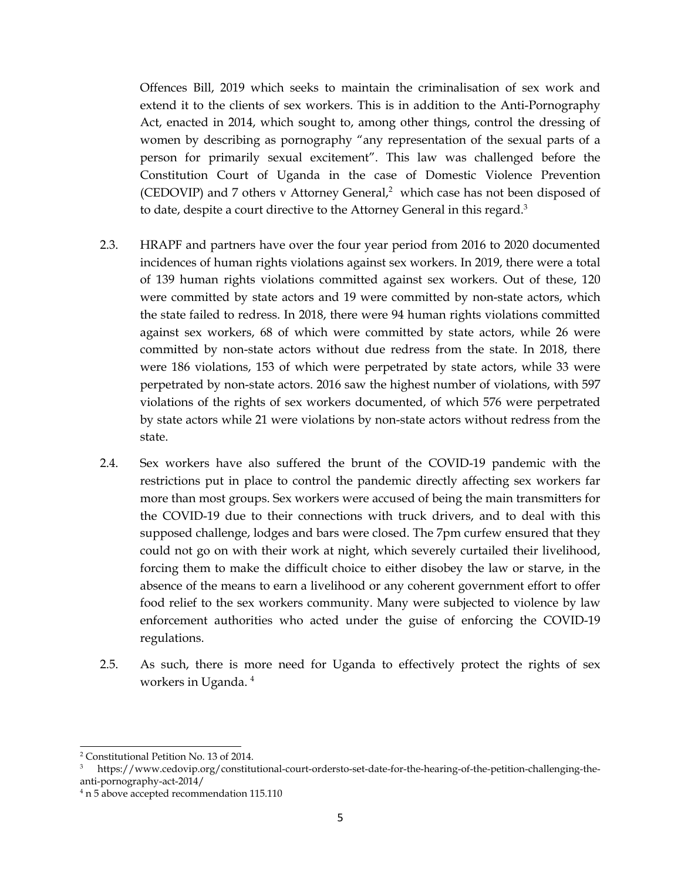Offences Bill, 2019 which seeks to maintain the criminalisation of sex work and extend it to the clients of sex workers. This is in addition to the Anti-Pornography Act, enacted in 2014, which sought to, among other things, control the dressing of women by describing as pornography "any representation of the sexual parts of <sup>a</sup> person for primarily sexual excitement". This law was challenged before the Constitution Court of Uganda in the case of Domestic Violence Prevention (CEDOVIP) and <sup>7</sup> others <sup>v</sup> Attorney General, <sup>2</sup> which case has not been disposed of to date, despite a court directive to the Attorney General in this regard.<sup>3</sup>

- 2.3. HRAPF and partners have over the four year period from 2016 to 2020 documented incidences of human rights violations against sex workers. In 2019, there were <sup>a</sup> total of 139 human rights violations committed against sex workers. Out of these, 120 were committed by state actors and 19 were committed by non-state actors, which the state failed to redress. In 2018, there were 94 human rights violations committed against sex workers, 68 of which were committed by state actors, while 26 were committed by non-state actors without due redress from the state. In 2018, there were 186 violations, 153 of which were perpetrated by state actors, while 33 were perpetrated by non-state actors. 2016 saw the highest number of violations, with 597 violations of the rights of sex workers documented, of which 576 were perpetrated by state actors while <sup>21</sup> were violations by non-state actors without redress from the state.
- 2.4. Sex workers have also suffered the brunt of the COVID-19 pandemic with the restrictions pu<sup>t</sup> in place to control the pandemic directly affecting sex workers far more than most groups. Sex workers were accused of being the main transmitters for the COVID-19 due to their connections with truck drivers, and to deal with this supposed challenge, lodges and bars were closed. The 7pm curfew ensured that they could not go on with their work at night, which severely curtailed their livelihood, forcing them to make the difficult choice to either disobey the law or starve, in the absence of the means to earn <sup>a</sup> livelihood or any coherent governmen<sup>t</sup> effort to offer food relief to the sex workers community. Many were subjected to violence by law enforcement authorities who acted under the guise of enforcing the COVID-19 regulations.
- 2.5. As such, there is more need for Uganda to effectively protect the rights of sex workers in Uganda. 4

<sup>2</sup> Constitutional Petition No. 13 of 2014.

<sup>3</sup> https://www.cedovip.org/constitutional-court-ordersto-set-date-for-the-hearing-of-the-petition-challenging-theanti-pornography-act-2014/

<sup>4</sup> <sup>n</sup> 5 above accepted recommendation 115.110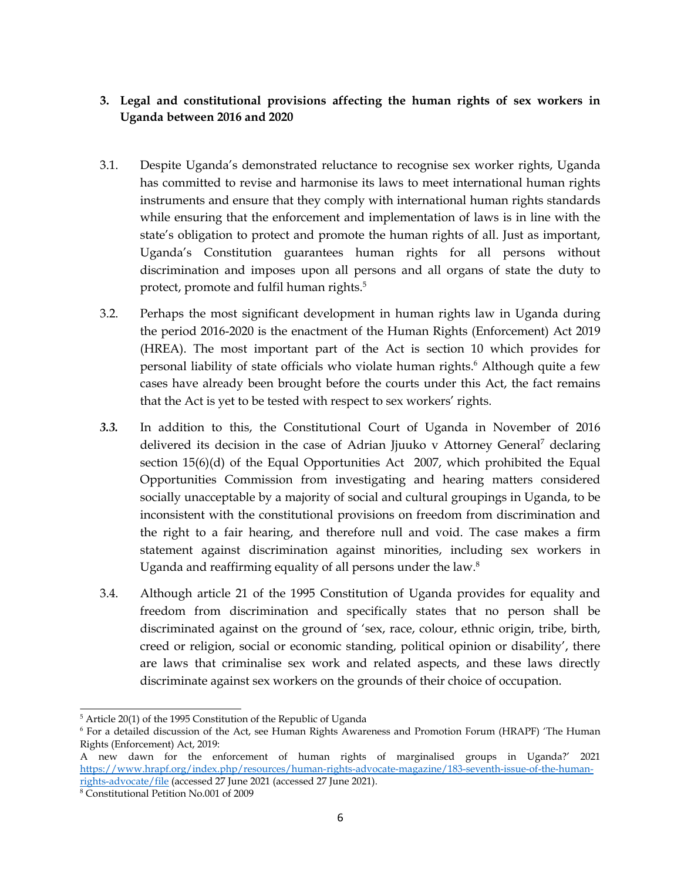# <span id="page-5-0"></span>**3. Legal and constitutional provisions affecting the human rights of sex workers in Uganda between 2016 and 2020**

- 3.1. Despite Uganda'<sup>s</sup> demonstrated reluctance to recognise sex worker rights, Uganda has committed to revise and harmonise its laws to meet international human rights instruments and ensure that they comply with international human rights standards while ensuring that the enforcement and implementation of laws is in line with the state'<sup>s</sup> obligation to protect and promote the human rights of all. Just as important, Uganda'<sup>s</sup> Constitution guarantees human rights for all persons without discrimination and imposes upon all persons and all organs of state the duty to protect, promote and fulfil human rights. 5
- 3.2. Perhaps the most significant development in human rights law in Uganda during the period 2016-2020 is the enactment of the Human Rights (Enforcement) Act 2019 (HREA). The most important par<sup>t</sup> of the Act is section 10 which provides for personal liability of state officials who violate human rights. <sup>6</sup> Although quite <sup>a</sup> few cases have already been brought before the courts under this Act, the fact remains that the Act is ye<sup>t</sup> to be tested with respec<sup>t</sup> to sex workers' rights.
- *3.3.* In addition to this, the Constitutional Court of Uganda in November of 2016 delivered its decision in the case of Adrian Jjuuko v Attorney General<sup>7</sup> declaring section 15(6)(d) of the Equal Opportunities Act 2007, which prohibited the Equal Opportunities Commission from investigating and hearing matters considered socially unacceptable by <sup>a</sup> majority of social and cultural groupings in Uganda, to be inconsistent with the constitutional provisions on freedom from discrimination and the right to <sup>a</sup> fair hearing, and therefore null and void. The case makes <sup>a</sup> firm statement against discrimination against minorities, including sex workers in Uganda and reaffirming equality of all persons under the law. $^8$
- 3.4. Although article <sup>21</sup> of the 1995 Constitution of Uganda provides for equality and freedom from discrimination and specifically states that no person shall be discriminated against on the ground of 'sex, race, colour, ethnic origin, tribe, birth, creed or religion, social or economic standing, political opinion or disability', there are laws that criminalise sex work and related aspects, and these laws directly discriminate against sex workers on the grounds of their choice of occupation.

<sup>5</sup> Article 20(1) of the <sup>1995</sup> Constitution of the Republic of Uganda

<sup>6</sup> For <sup>a</sup> detailed discussion of the Act, see Human Rights Awareness and Promotion Forum (HRAPF) 'The Human Rights (Enforcement) Act, 2019:

<sup>A</sup> new dawn for the enforcement of human rights of marginalised groups in Uganda?' <sup>2021</sup> [https://www.hrapf.org/index.php/resources/human-rights-advocate-magazine/183-seventh-issue-of-the-human](https://www.hrapf.org/index.php/resources/human-rights-advocate-magazine/183-seventh-issue-of-the-human-rights-advocate/file)[rights-advocate/file](https://www.hrapf.org/index.php/resources/human-rights-advocate-magazine/183-seventh-issue-of-the-human-rights-advocate/file) (accessed <sup>27</sup> June 2021 (accessed <sup>27</sup> June 2021).

<sup>8</sup> Constitutional Petition No.001 of 2009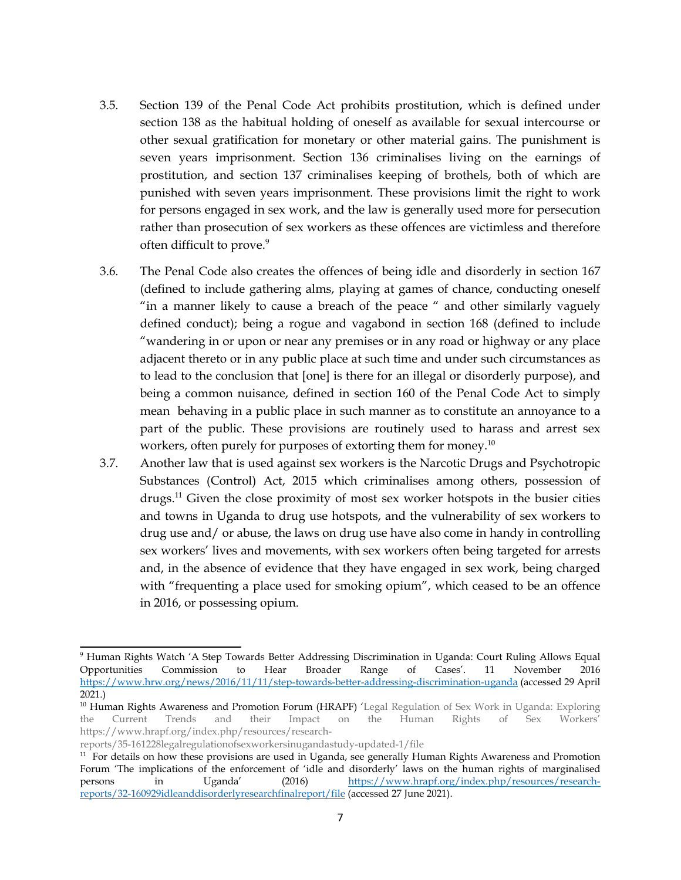- 3.5. Section 139 of the Penal Code Act prohibits prostitution, which is defined under section 138 as the habitual holding of oneself as available for sexual intercourse or other sexual gratification for monetary or other material gains. The punishment is seven years imprisonment. Section 136 criminalises living on the earnings of prostitution, and section 137 criminalises keeping of brothels, both of which are punished with seven years imprisonment. These provisions limit the right to work for persons engaged in sex work, and the law is generally used more for persecution rather than prosecution of sex workers as these offences are victimless and therefore often difficult to prove. 9
- 3.6. The Penal Code also creates the offences of being idle and disorderly in section 167 (defined to include gathering alms, playing at games of chance, conducting oneself "in <sup>a</sup> manner likely to cause <sup>a</sup> breach of the peace " and other similarly vaguely defined conduct); being <sup>a</sup> rogue and vagabond in section 168 (defined to include "wandering in or upon or near any premises or in any road or highway or any place adjacent thereto or in any public place at such time and under such circumstances as to lead to the conclusion that [one] is there for an illegal or disorderly purpose), and being <sup>a</sup> common nuisance, defined in section 160 of the Penal Code Act to simply mean behaving in <sup>a</sup> public place in such manner as to constitute an annoyance to <sup>a</sup> par<sup>t</sup> of the public. These provisions are routinely used to harass and arrest sex workers, often purely for purposes of extorting them for money. $^{10}$
- 3.7. Another law that is used against sex workers is the Narcotic Drugs and Psychotropic Substances (Control) Act, 2015 which criminalises among others, possession of drugs. <sup>11</sup> Given the close proximity of most sex worker hotspots in the busier cities and towns in Uganda to drug use hotspots, and the vulnerability of sex workers to drug use and/ or abuse, the laws on drug use have also come in handy in controlling sex workers' lives and movements, with sex workers often being targeted for arrests and, in the absence of evidence that they have engaged in sex work, being charged with "frequenting <sup>a</sup> place used for smoking opium", which ceased to be an offence in 2016, or possessing opium.

reports/35-161228legalregulationofsexworkersinugandastudy-updated-1/file

<sup>9</sup> Human Rights Watch '<sup>A</sup> Step Towards Better Addressing Discrimination in Uganda: Court Ruling Allows Equal Opportunities Commission to Hear Broader Range of Cases'. <sup>11</sup> November 2016 <https://www.hrw.org/news/2016/11/11/step-towards-better-addressing-discrimination-uganda> (accessed 29 April 2021.)

<sup>&</sup>lt;sup>10</sup> Human Rights Awareness and Promotion Forum (HRAPF) 'Legal Regulation of Sex Work in Uganda: Exploring the Current Trends and their Impact on the Human Rights of Sex Workers' https://www.hrapf.org/index.php/resources/research-

 $11$  For details on how these provisions are used in Uganda, see generally Human Rights Awareness and Promotion Forum 'The implications of the enforcement of 'idle and disorderly' laws on the human rights of marginalised<br>persons in Uganda' (2016) https://www.hrapf.org/index.php/resources/researchpersons in Uganda' (2016) [https://www.hrapf.org/index.php/resources/research](https://www.hrapf.org/index.php/resources/research-reports/32-160929idleanddisorderlyresearchfinalreport/file)repor[ts/32-160929idleanddisorderlyresearchfinalreport/file](https://www.hrapf.org/index.php/resources/research-reports/32-160929idleanddisorderlyresearchfinalreport/file) (accessed <sup>27</sup> June 2021).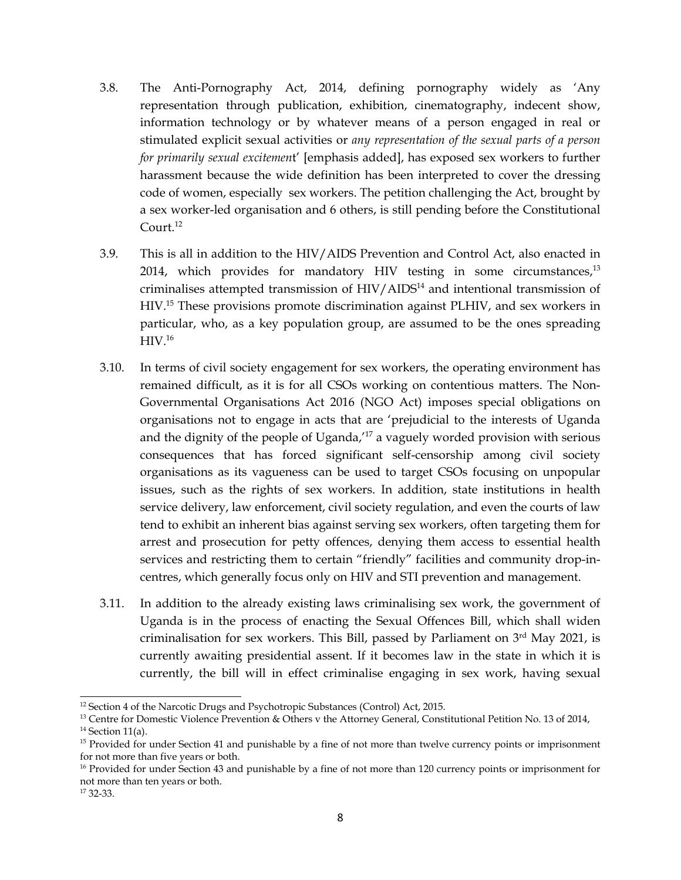- 3.8. The Anti-Pornography Act, 2014, defining pornography widely as 'Any representation through publication, exhibition, cinematography, indecent show, information technology or by whatever means of <sup>a</sup> person engaged in real or stimulated explicit sexual activities or *any representation of the sexual parts of <sup>a</sup> person for primarily sexual excitemen*t' [emphasis added], has exposed sex workers to further harassment because the wide definition has been interpreted to cover the dressing code of women, especially sex workers. The petition challenging the Act, brought by <sup>a</sup> sex worker-led organisation and 6 others, is still pending before the Constitutional Court. 12
- 3.9. This is all in addition to the HIV/AIDS Prevention and Control Act, also enacted in 2014, which provides for mandatory HIV testing in some circumstances,<sup>13</sup> criminalises attempted transmission of HIV/AIDS<sup>14</sup> and intentional transmission of HIV. 15 These provisions promote discrimination against PLHIV, and sex workers in particular, who, as <sup>a</sup> key population group, are assumed to be the ones spreading  ${\rm HIV.^{16}}$
- 3.10. In terms of civil society engagemen<sup>t</sup> for sex workers, the operating environment has remained difficult, as it is for all CSOs working on contentious matters. The Non-Governmental Organisations Act 2016 (NGO Act) imposes special obligations on organisations not to engage in acts that are 'prejudicial to the interests of Uganda and the dignity of the people of Uganda,'<sup>17</sup> a vaguely worded provision with serious consequences that has forced significant self-censorship among civil society organisations as its vagueness can be used to target CSOs focusing on unpopular issues, such as the rights of sex workers. In addition, state institutions in health service delivery, law enforcement, civil society regulation, and even the courts of law tend to exhibit an inherent bias against serving sex workers, often targeting them for arrest and prosecution for petty offences, denying them access to essential health services and restricting them to certain "friendly" facilities and community drop-incentres, which generally focus only on HIV and STI prevention and management.
- 3.11. In addition to the already existing laws criminalising sex work, the governmen<sup>t</sup> of Uganda is in the process of enacting the Sexual Offences Bill, which shall widen criminalisation for sex workers. This Bill, passed by Parliament on  $3<sup>rd</sup>$  May 2021, is currently awaiting presidential assent. If it becomes law in the state in which it is currently, the bill will in effect criminalise engaging in sex work, having sexual

<sup>12</sup> Section <sup>4</sup> of the Narcotic Drugs and Psychotropic Substances (Control) Act, 2015.

<sup>&</sup>lt;sup>13</sup> Centre for Domestic Violence Prevention & Others v the Attorney General, Constitutional Petition No. 13 of 2014, <sup>14</sup> Section 11(a).

<sup>&</sup>lt;sup>15</sup> Provided for under Section 41 and punishable by a fine of not more than twelve currency points or imprisonment for not more than five years or both.

<sup>&</sup>lt;sup>16</sup> Provided for under Section 43 and punishable by a fine of not more than 120 currency points or imprisonment for not more than ten years or both.

<sup>17</sup> 32-33.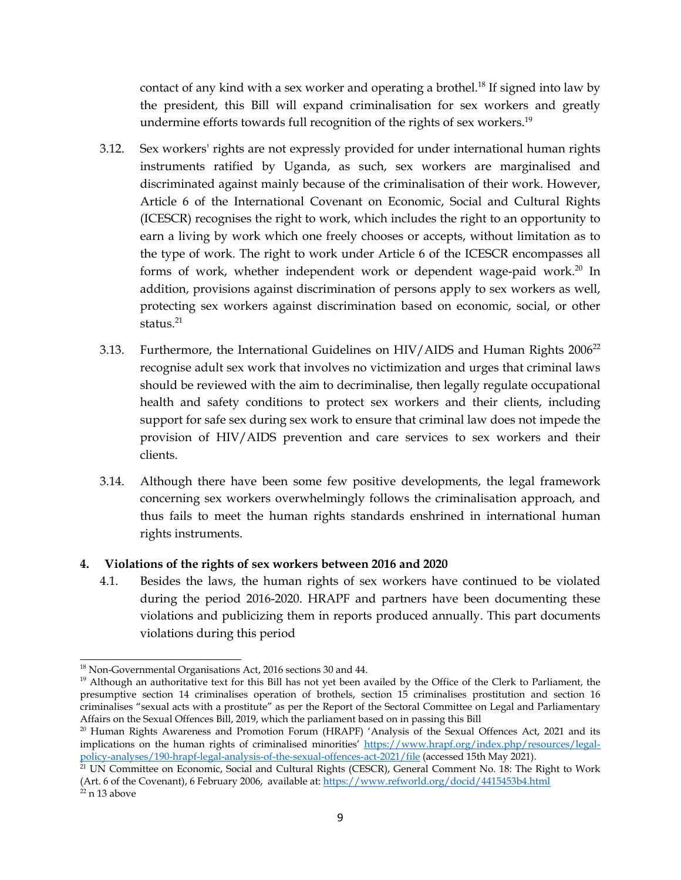<span id="page-8-0"></span>contact of any kind with a sex worker and operating a brothel.<sup>18</sup> If signed into law by the president, this Bill will expand criminalisation for sex workers and greatly undermine efforts towards full recognition of the rights of sex workers.<sup>19</sup>

- 3.12. Sex workers' rights are not expressly provided for under international human rights instruments ratified by Uganda, as such, sex workers are marginalised and discriminated against mainly because of the criminalisation of their work. However, Article 6 of the International Covenant on Economic, Social and Cultural Rights (ICESCR) recognises the right to work, which includes the right to an opportunity to earn <sup>a</sup> living by work which one freely chooses or accepts, without limitation as to the type of work. The right to work under Article 6 of the ICESCR encompasses all forms of work, whether independent work or dependent wage-paid work.<sup>20</sup> In addition, provisions against discrimination of persons apply to sex workers as well, protecting sex workers against discrimination based on economic, social, or other status.<sup>21</sup>
- 3.13. Furthermore, the International Guidelines on HIV/AIDS and Human Rights 2006<sup>22</sup> recognise adult sex work that involves no victimization and urges that criminal laws should be reviewed with the aim to decriminalise, then legally regulate occupational health and safety conditions to protect sex workers and their clients, including suppor<sup>t</sup> for safe sex during sex work to ensure that criminal law does not impede the provision of HIV/AIDS prevention and care services to sex workers and their clients.
- 3.14. Although there have been some few positive developments, the legal framework concerning sex workers overwhelmingly follows the criminalisation approach, and thus fails to meet the human rights standards enshrined in international human rights instruments.

### **4. Violations of the rights of sex workers between 2016 and 2020**

4.1. Besides the laws, the human rights of sex workers have continued to be violated during the period 2016-2020. HRAPF and partners have been documenting these violations and publicizing them in reports produced annually. This par<sup>t</sup> documents violations during this period

<sup>&</sup>lt;sup>18</sup> Non-Governmental Organisations Act, 2016 sections 30 and 44.

<sup>&</sup>lt;sup>19</sup> Although an authoritative text for this Bill has not yet been availed by the Office of the Clerk to Parliament, the presumptive section 14 criminalises operation of brothels, section 15 criminalises prostitution and section 16 criminalises "sexual acts with <sup>a</sup> prostitute" as per the Report of the Sectoral Committee on Legal and Parliamentary Affairs on the Sexual Offences Bill, 2019, which the parliament based on in passing this Bill

<sup>&</sup>lt;sup>20</sup> Human Rights Awareness and Promotion Forum (HRAPF) 'Analysis of the Sexual Offences Act, 2021 and its implications on the human rights of criminalised minorities' [https://www.hrapf.org/index.php/resources/legal](https://www.hrapf.org/index.php/resources/legal-policy-analyses/190-hrapf-legal-analysis-of-the-sexual-offences-act-2021/file)po[licy-analyses/190-hrapf-legal-analysis-of-the-sexual-offences-act-2021/file](https://www.hrapf.org/index.php/resources/legal-policy-analyses/190-hrapf-legal-analysis-of-the-sexual-offences-act-2021/file) (accessed 15th May 2021).

 $^{21}$  UN Committee on Economic, Social and Cultural Rights (CESCR), General Comment No. 18: The Right to Work (Art. 6 of the Covenant), 6 February 2006, available at: <https://www.refworld.org/docid/4415453b4.html> <sup>22</sup> n 13 above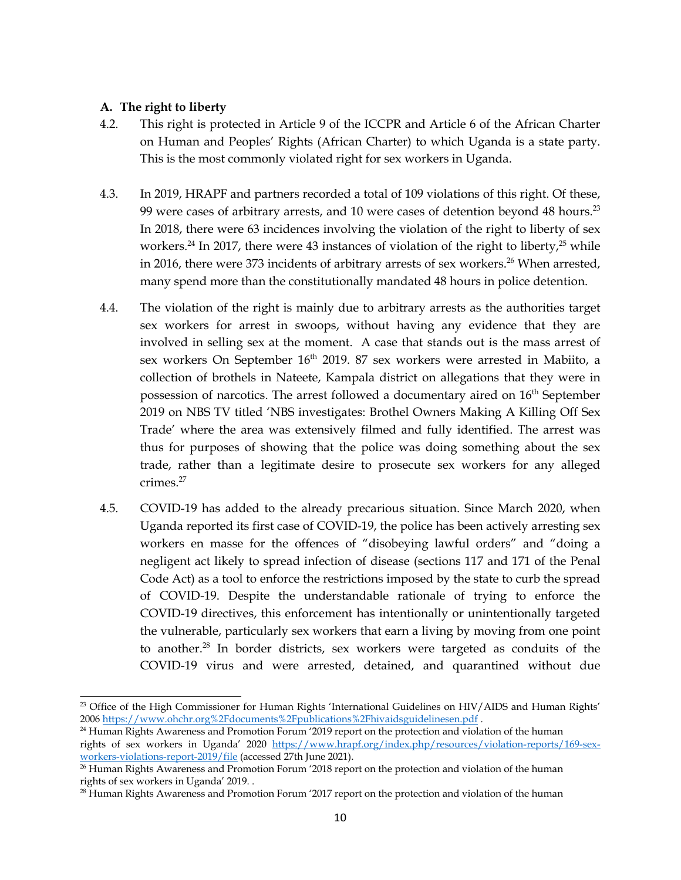### <span id="page-9-0"></span>**A. The right to liberty**

- 4.2. This right is protected in Article 9 of the ICCPR and Article 6 of the African Charter on Human and Peoples' Rights (African Charter) to which Uganda is <sup>a</sup> state party. This is the most commonly violated right for sex workers in Uganda.
- 4.3. In 2019, HRAPF and partners recorded <sup>a</sup> total of 109 violations of this right. Of these, 99 were cases of arbitrary arrests, and 10 were cases of detention beyond 48 hours. $^\mathrm{23}$ In 2018, there were 63 incidences involving the violation of the right to liberty of sex workers. $^{24}$  In 2017, there were 43 instances of violation of the right to liberty, $^{25}$  while in 2016, there were 373 incidents of arbitrary arrests of sex workers. <sup>26</sup> When arrested, many spend more than the constitutionally mandated 48 hours in police detention.
- 4.4. The violation of the right is mainly due to arbitrary arrests as the authorities target sex workers for arrest in swoops, without having any evidence that they are involved in selling sex at the moment. <sup>A</sup> case that stands out is the mass arrest of sex workers On September  $16^{\text{th}}$  2019. 87 sex workers were arrested in Mabiito, a collection of brothels in Nateete, Kampala district on allegations that they were in possession of narcotics. The arrest followed a documentary aired on 16<sup>th</sup> September 2019 on NBS TV titled 'NBS investigates: Brothel Owners Making <sup>A</sup> Killing Off Sex Trade' where the area was extensively filmed and fully identified. The arrest was thus for purposes of showing that the police was doing something about the sex trade, rather than <sup>a</sup> legitimate desire to prosecute sex workers for any alleged crimes. 27
- 4.5. COVID-19 has added to the already precarious situation. Since March 2020, when Uganda reported its first case of COVID-19, the police has been actively arresting sex workers en masse for the offences of "disobeying lawful orders" and "doing <sup>a</sup> negligent act likely to spread infection of disease (sections <sup>117</sup> and <sup>171</sup> of the Penal Code Act) as <sup>a</sup> tool to enforce the restrictions imposed by the state to curb the spread of COVID-19. Despite the understandable rationale of trying to enforce the COVID-19 directives, this enforcement has intentionally or unintentionally targeted the vulnerable, particularly sex workers that earn <sup>a</sup> living by moving from one point to another. 28 In border districts, sex workers were targeted as conduits of the COVID-19 virus and were arrested, detained, and quarantined without due

<sup>&</sup>lt;sup>23</sup> Office of the High Commissioner for Human Rights 'International Guidelines on HIV/AIDS and Human Rights' 2006 https://www.ohchr.org%2Fdocuments%2Fpublications%2Fhivaidsguidelinesen.pdf .

<sup>&</sup>lt;sup>24</sup> Human Rights Awareness and Promotion Forum '2019 report on the protection and violation of the human rights of sex workers in Uganda' <sup>2020</sup> [https://www.hrapf.org/index.php/resources/violation-reports/169-sex](https://www.hrapf.org/index.php/resources/violation-reports/169-sex-workers-violations-report-2019/file)[workers-violations-report-2019/file](https://www.hrapf.org/index.php/resources/violation-reports/169-sex-workers-violations-report-2019/file) (accessed 27th June 2021).

<sup>&</sup>lt;sup>26</sup> Human Rights Awareness and Promotion Forum '2018 report on the protection and violation of the human rights of sex workers in Uganda' 2019. .

<sup>&</sup>lt;sup>28</sup> Human Rights Awareness and Promotion Forum '2017 report on the protection and violation of the human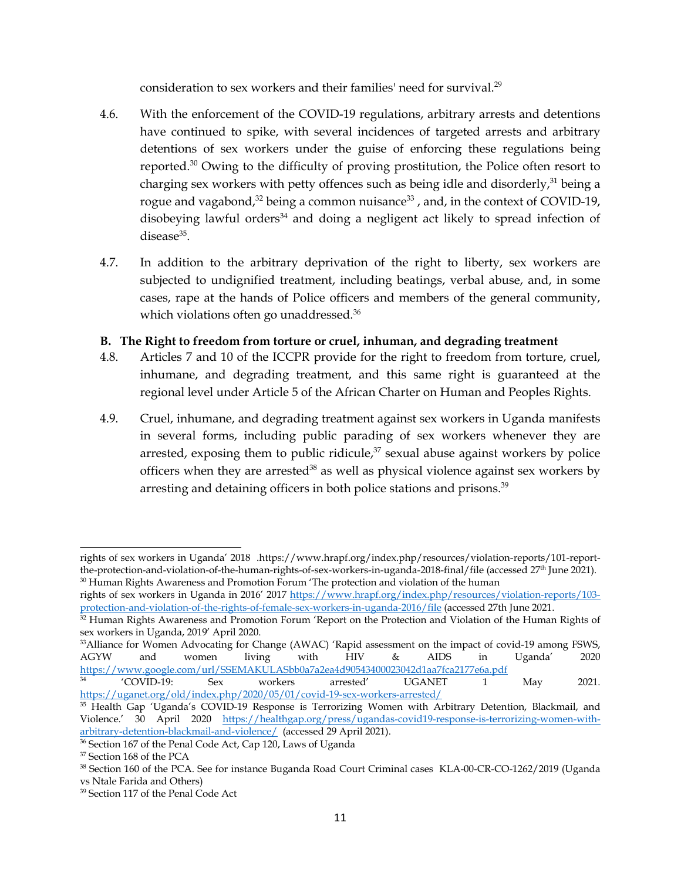consideration to sex workers and their families' need for survival. $^{29}$ 

- <span id="page-10-0"></span>4.6. With the enforcement of the COVID-19 regulations, arbitrary arrests and detentions have continued to spike, with several incidences of targeted arrests and arbitrary detentions of sex workers under the guise of enforcing these regulations being reported. <sup>30</sup> Owing to the difficulty of proving prostitution, the Police often resort to charging sex workers with petty offences such as being idle and disorderly, $^{\text{31}}$  being a rogue and vagabond, $^\mathrm{32}$  being a common nuisance $^\mathrm{33}$  , and, in the context of COVID-19, disobeying lawful orders $^{\rm 34}$  and doing a negligent act likely to spread infection of disease<sup>35</sup>.
- 4.7. In addition to the arbitrary deprivation of the right to liberty, sex workers are subjected to undignified treatment, including beatings, verbal abuse, and, in some cases, rape at the hands of Police officers and members of the general community, which violations often go unaddressed. 36

## **B. The Right to freedom from torture or cruel, inhuman, and degrading treatment**

- 4.8. Articles <sup>7</sup> and 10 of the ICCPR provide for the right to freedom from torture, cruel, inhumane, and degrading treatment, and this same right is guaranteed at the regional level under Article 5 of the African Charter on Human and Peoples Rights.
- 4.9. Cruel, inhumane, and degrading treatment against sex workers in Uganda manifests in several forms, including public parading of sex workers whenever they are arrested, exposing them to public ridicule,<sup>37</sup> sexual abuse against workers by police officers when they are arrested $^{38}$  as well as physical violence against sex workers by arresting and detaining officers in both police stations and prisons. 39

rights of sex workers in Uganda' <sup>2018</sup> .https://www.hrapf.org/index.php/resources/violation-reports/101-reportthe-protection-and-violation-of-the-human-rights-of-sex-workers-in-uganda-2018-final/file (accessed 27<sup>th</sup> June 2021).  $30$  Human Rights Awareness and Promotion Forum  $'$ The protection and violation of the human

rights of sex workers in Uganda in 2016' <sup>2017</sup> [https://www.hrapf.org/index.php/resources/violation-reports/103](https://www.hrapf.org/index.php/resources/violation-reports/103-protection-and-violation-of-the-rights-of-female-sex-workers-in-uganda-2016/file) pro[tection-and-violation-of-the-rights-of-female-sex-workers-in-uganda-2016/file](https://www.hrapf.org/index.php/resources/violation-reports/103-protection-and-violation-of-the-rights-of-female-sex-workers-in-uganda-2016/file) (accessed 27th June 2021.

 $32$  Human Rights Awareness and Promotion Forum 'Report on the Protection and Violation of the Human Rights of sex workers in Uganda, 2019' April 2020.

<sup>&</sup>lt;sup>33</sup>Alliance for Women Advocating for Change (AWAC) 'Rapid assessment on the impact of covid-19 among FSWS, AGYW and women living with HIV & AIDS in Uganda' 2020 AGYW and women living with HIV & AIDS in Uganda' <sup>2020</sup> <https://www.google.com/url/SSEMAKULASbb0a7a2ea4d90543400023042d1aa7fca2177e6a.pdf><br>
'COVID-19: Sex workers arrested' UGANET 1

<sup>34</sup> 'COVID-19: Sex workers arrested' UGANET <sup>1</sup> May 2021. <https://uganet.org/old/index.php/2020/05/01/covid-19-sex-workers-arrested/>

<sup>35</sup> Health Gap 'Uganda'<sup>s</sup> COVID-19 Response is Terrorizing Women with Arbitrary Detention, Blackmail, and Violence.' <sup>30</sup> April <sup>2020</sup> [https://healthgap.org/press/ugandas-covid19-response-is-terrorizing-women-with](https://healthgap.org/press/ugandas-covid19-response-is-terrorizing-women-with-arbitrary-detention-blackmail-and-violence/)[arbitrary-detention-blackmail-and-violence/](https://healthgap.org/press/ugandas-covid19-response-is-terrorizing-women-with-arbitrary-detention-blackmail-and-violence/) (accessed 29 April 2021).

<sup>&</sup>lt;sup>36</sup> Section 167 of the Penal Code Act, Cap 120, Laws of Uganda

<sup>&</sup>lt;sup>37</sup> Section 168 of the PCA

<sup>&</sup>lt;sup>38</sup> Section 160 of the PCA. See for instance Buganda Road Court Criminal cases KLA-00-CR-CO-1262/2019 (Uganda vs Ntale Farida and Others)

<sup>&</sup>lt;sup>39</sup> Section 117 of the Penal Code Act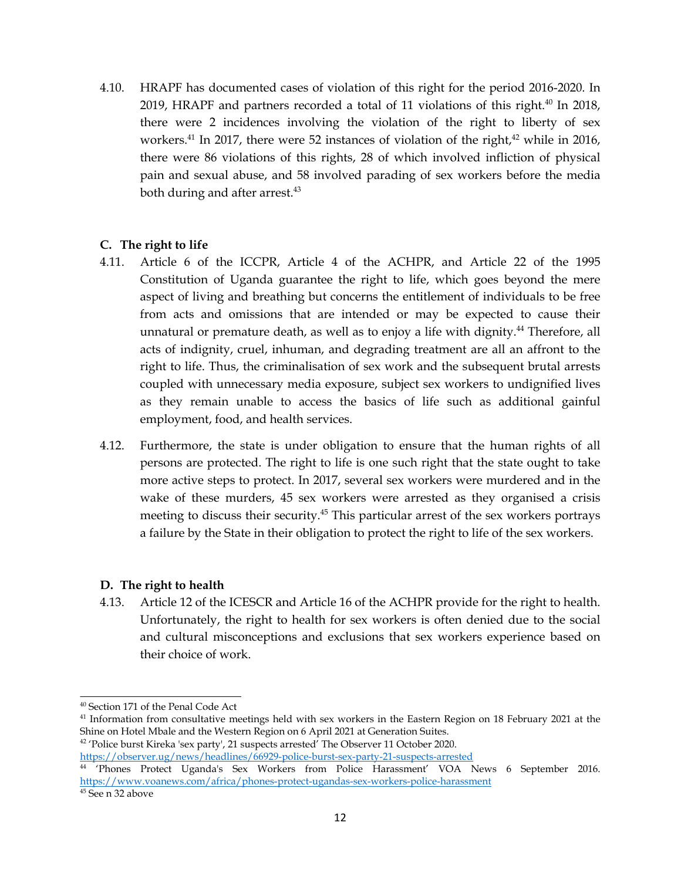<span id="page-11-0"></span>4.10. HRAPF has documented cases of violation of this right for the period 2016-2020. In 2019, HRAPF and partners recorded a total of 11 violations of this right. $^{40}$  In 2018, there were <sup>2</sup> incidences involving the violation of the right to liberty of sex workers. 41 In 2017, there were 52 instances of violation of the right, <sup>42</sup> while in 2016, there were 86 violations of this rights, 28 of which involved infliction of physical pain and sexual abuse, and 58 involved parading of sex workers before the media both during and after arrest. 43

### **C. The right to life**

- 4.11. Article 6 of the ICCPR, Article 4 of the ACHPR, and Article 22 of the 1995 Constitution of Uganda guarantee the right to life, which goes beyond the mere aspec<sup>t</sup> of living and breathing but concerns the entitlement of individuals to be free from acts and omissions that are intended or may be expected to cause their unnatural or premature death, as well as to enjoy <sup>a</sup> life with dignity. 44 Therefore, all acts of indignity, cruel, inhuman, and degrading treatment are all an affront to the right to life. Thus, the criminalisation of sex work and the subsequent brutal arrests coupled with unnecessary media exposure, subject sex workers to undignified lives as they remain unable to access the basics of life such as additional gainful employment, food, and health services.
- 4.12. Furthermore, the state is under obligation to ensure that the human rights of all persons are protected. The right to life is one such right that the state ought to take more active steps to protect. In 2017, several sex workers were murdered and in the wake of these murders, 45 sex workers were arrested as they organised <sup>a</sup> crisis meeting to discuss their security. 45 This particular arrest of the sex workers portrays <sup>a</sup> failure by the State in their obligation to protect the right to life of the sex workers.

#### **D. The right to health**

4.13. Article <sup>12</sup> of the ICESCR and Article 16 of the ACHPR provide for the right to health. Unfortunately, the right to health for sex workers is often denied due to the social and cultural misconceptions and exclusions that sex workers experience based on their choice of work.

<sup>42</sup> 'Police burst Kireka 'sex party', 21 suspects arrested' The Observer 11 October 2020.

<sup>40</sup> Section 171 of the Penal Code Act

 $^{41}$  Information from consultative meetings held with sex workers in the Eastern Region on 18 February 2021 at the Shine on Hotel Mbale and the Western Region on 6 April 2021 at Generation Suites.

<https://observer.ug/news/headlines/66929-police-burst-sex-party-21-suspects-arrested>

<sup>44</sup> 'Phones Protect Uganda's Sex Workers from Police Harassment' VOA News 6 September 2016. <https://www.voanews.com/africa/phones-protect-ugandas-sex-workers-police-harassment>

<sup>&</sup>lt;sup>45</sup> See n 32 above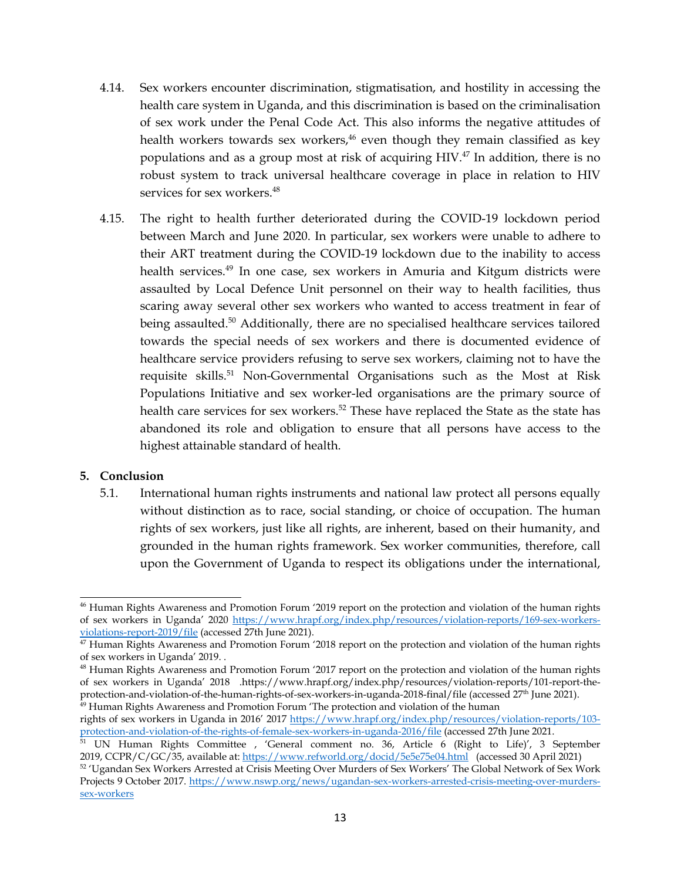- <span id="page-12-0"></span>4.14. Sex workers encounter discrimination, stigmatisation, and hostility in accessing the health care system in Uganda, and this discrimination is based on the criminalisation of sex work under the Penal Code Act. This also informs the negative attitudes of health workers towards sex workers,<sup>46</sup> even though they remain classified as key populations and as <sup>a</sup> group most at risk of acquiring HIV. 47 In addition, there is no robust system to track universal healthcare coverage in place in relation to HIV services for sex workers. 48
- 4.15. The right to health further deteriorated during the COVID-19 lockdown period between March and June 2020. In particular, sex workers were unable to adhere to their ART treatment during the COVID-19 lockdown due to the inability to access health services. 49 In one case, sex workers in Amuria and Kitgum districts were assaulted by Local Defence Unit personnel on their way to health facilities, thus scaring away several other sex workers who wanted to access treatment in fear of being assaulted. <sup>50</sup> Additionally, there are no specialised healthcare services tailored towards the special needs of sex workers and there is documented evidence of healthcare service providers refusing to serve sex workers, claiming not to have the requisite skills. <sup>51</sup> Non-Governmental Organisations such as the Most at Risk Populations Initiative and sex worker-led organisations are the primary source of health care services for sex workers. 52 These have replaced the State as the state has abandoned its role and obligation to ensure that all persons have access to the highest attainable standard of health.

#### **5. Conclusion**

5.1. International human rights instruments and national law protect all persons equally without distinction as to race, social standing, or choice of occupation. The human rights of sex workers, just like all rights, are inherent, based on their humanity, and grounded in the human rights framework. Sex worker communities, therefore, call upon the Government of Uganda to respec<sup>t</sup> its obligations under the international,

rights of sex workers in Uganda in 2016' <sup>2017</sup> [https://www.hrapf.org/index.php/resources/violation-reports/103](https://www.hrapf.org/index.php/resources/violation-reports/103-protection-and-violation-of-the-rights-of-female-sex-workers-in-uganda-2016/file) pro[tection-and-violation-of-the-rights-of-female-sex-workers-in-uganda-2016/file](https://www.hrapf.org/index.php/resources/violation-reports/103-protection-and-violation-of-the-rights-of-female-sex-workers-in-uganda-2016/file) (accessed 27th June 2021.

<sup>46</sup> Human Rights Awareness and Promotion Forum '<sup>2019</sup> repor<sup>t</sup> on the protection and violation of the human rights of sex workers in Uganda' <sup>2020</sup> [https://www.hrapf.org/index.php/resources/violation-reports/169-sex-workers](https://www.hrapf.org/index.php/resources/violation-reports/169-sex-workers-violations-report-2019/file)[violations-report-2019/file](https://www.hrapf.org/index.php/resources/violation-reports/169-sex-workers-violations-report-2019/file) (accessed 27th June 2021).

<sup>&</sup>lt;sup>47</sup> Human Rights Awareness and Promotion Forum '2018 report on the protection and violation of the human rights of sex workers in Uganda' 2019. .

<sup>48</sup> Human Rights Awareness and Promotion Forum '<sup>2017</sup> repor<sup>t</sup> on the protection and violation of the human rights of sex workers in Uganda' <sup>2018</sup> .https://www.hrapf.org/index.php/resources/violation-reports/101-report-theprotection-and-violation-of-the-human-rights-of-sex-workers-in-uganda-2018-final/file (accessed <sup>27</sup>th June 2021). <sup>49</sup> Human Rights Awareness and Promotion Forum 'The protection and violation of the human

<sup>&</sup>lt;sup>51</sup> UN Human Rights Committee , 'General comment no. 36, Article 6 (Right to Life)', 3 September 2019, CCPR/C/GC/35, available at: <https://www.refworld.org/docid/5e5e75e04.html> (accessed 30 April 2021)

 $^{52}$  'Ugandan Sex Workers Arrested at Crisis Meeting Over Murders of Sex Workers' The Global Network of Sex Work Projects 9 October 2017. [https://www.nswp.org/news/ugandan-sex-workers-arrested-crisis-meeting-over-murders](https://www.nswp.org/news/ugandan-sex-workers-arrested-crisis-meeting-over-murders-sex-workers)[sex-workers](https://www.nswp.org/news/ugandan-sex-workers-arrested-crisis-meeting-over-murders-sex-workers)